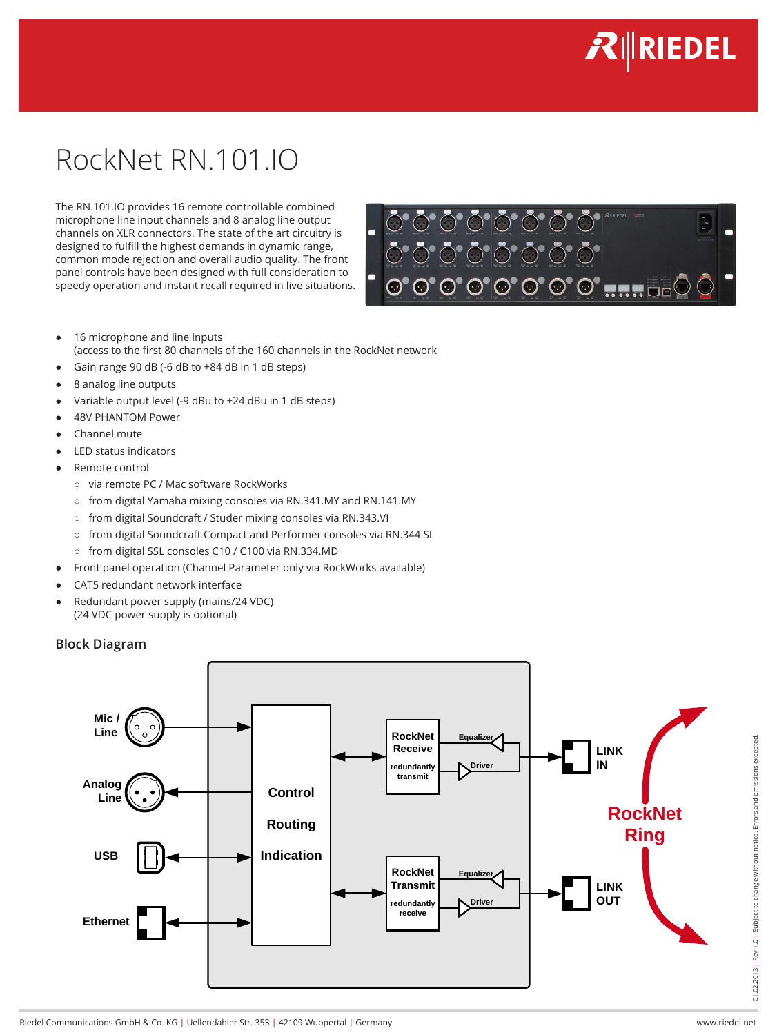

# RockNet RN.101.IO

The RN.101.IO provides 16 remote controllable combined microphone line input channels and 8 analog line output channels on XLR connectors. The state of the art circuitry is designed to fulfill the highest demands in dynamic range, common mode rejection and overall audio quality. The front panel controls have been designed with full consideration to speedy operation and instant recall required in live situations.



- 16 microphone and line inputs
- (access to the first 80 channels of the 160 channels in the RockNet network
- Gain range 90 dB (-6 dB to +84 dB in 1 dB steps)
- 8 analog line outputs
- Variable output level (-9 dBu to +24 dBu in 1 dB steps)
- 48V PHANTOM Power
- Channel mute
- LED status indicators
- Remote control
	- via remote PC / Mac software RockWorks
	- from digital Yamaha mixing consoles via RN.341.MY and RN.141.MY
	- from digital Soundcraft / Studer mixing consoles via RN.343.VI
	- from digital Soundcraft Compact and Performer consoles via RN.344.SI
	- from digital SSL consoles C10 / C100 via RN.334.MD
- Front panel operation (Channel Parameter only via RockWorks available)
- CAT5 redundant network interface
- Redundant power supply (mains/24 VDC) (24 VDC power supply is optional)

## **Block Diagram**